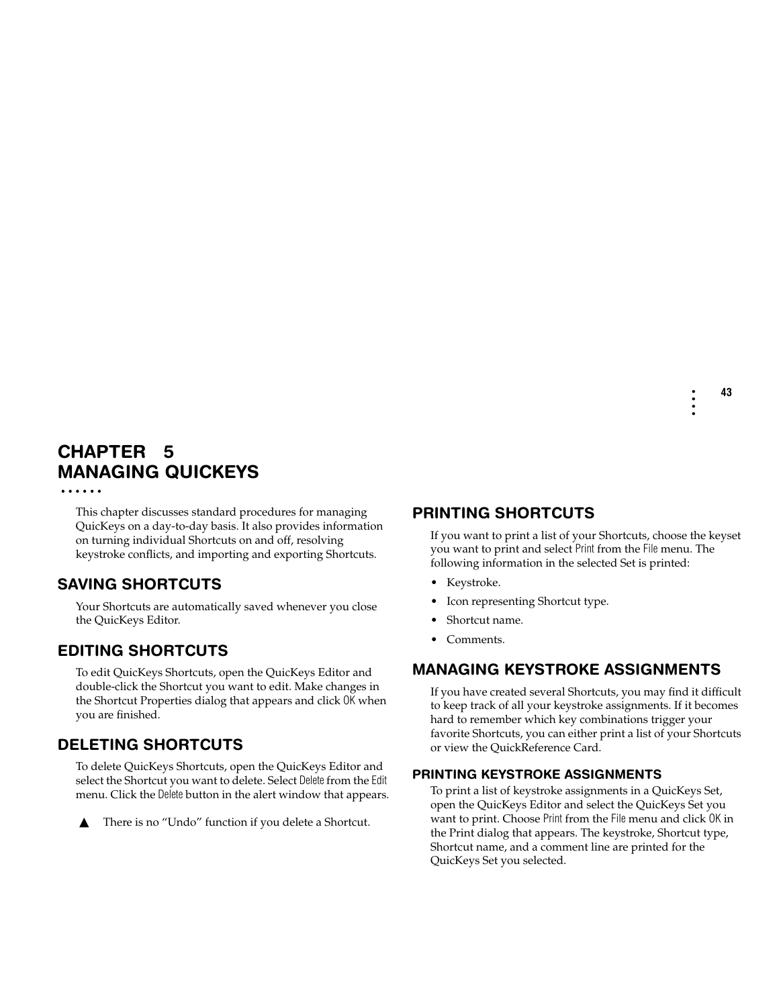## **CHAPTER 5** • • • • • • **MANAGING QUICKEYS**

This chapter discusses standard procedures for managing QuicKeys on a day-to-day basis. It also provides information on turning individual Shortcuts on and off, resolving keystroke conflicts, and importing and exporting Shortcuts.

# **SAVING SHORTCUTS**

Your Shortcuts are automatically saved whenever you close the QuicKeys Editor.

# **EDITING SHORTCUTS**

To edit QuicKeys Shortcuts, open the QuicKeys Editor and double-click the Shortcut you want to edit. Make changes in the Shortcut Properties dialog that appears and click OK when you are finished.

# **DELETING SHORTCUTS**

To delete QuicKeys Shortcuts, open the QuicKeys Editor and select the Shortcut you want to delete. Select Delete from the Edit menu. Click the Delete button in the alert window that appears.

▲ There is no "Undo" function if you delete a Shortcut.

# **PRINTING SHORTCUTS**

If you want to print a list of your Shortcuts, choose the keyset you want to print and select Print from the File menu. The following information in the selected Set is printed:

- Keystroke.
- Icon representing Shortcut type.
- Shortcut name.
- Comments.

# **MANAGING KEYSTROKE ASSIGNMENTS**

If you have created several Shortcuts, you may find it difficult to keep track of all your keystroke assignments. If it becomes hard to remember which key combinations trigger your favorite Shortcuts, you can either print a list of your Shortcuts or view the QuickReference Card.

#### **PRINTING KEYSTROKE ASSIGNMENTS**

To print a list of keystroke assignments in a QuicKeys Set, open the QuicKeys Editor and select the QuicKeys Set you want to print. Choose Print from the File menu and click OK in the Print dialog that appears. The keystroke, Shortcut type, Shortcut name, and a comment line are printed for the QuicKeys Set you selected.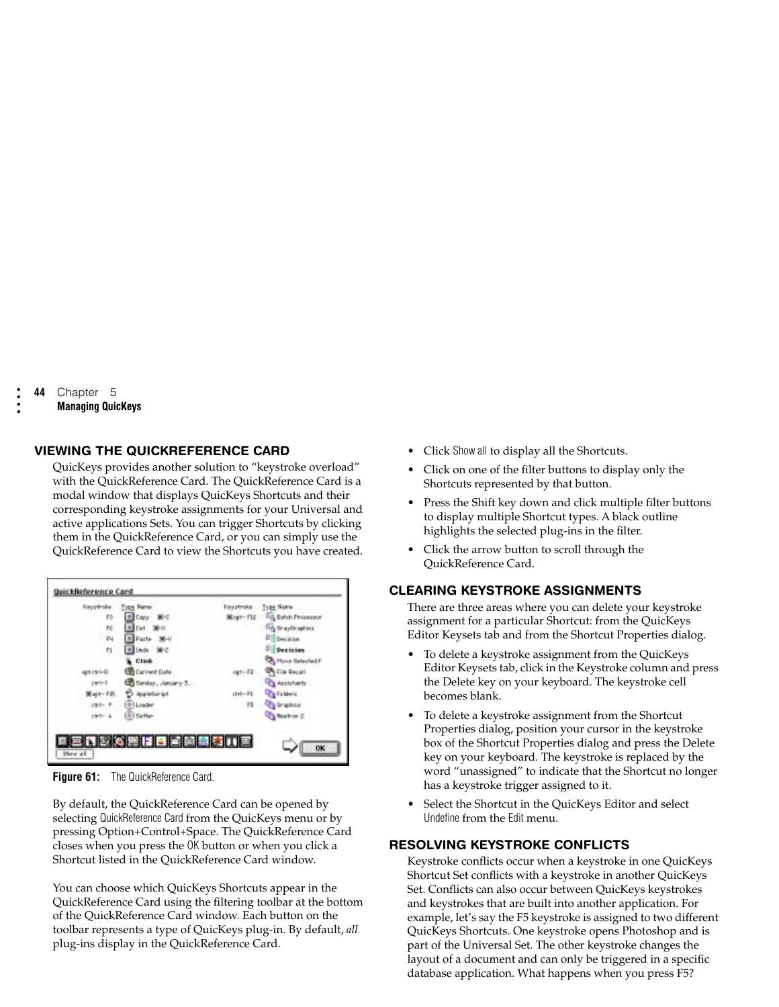• • • •

### **VIEWING THE QUICKREFERENCE CARD**

QuicKeys provides another solution to "keystroke overload" with the QuickReference Card. The QuickReference Card is a modal window that displays QuicKeys Shortcuts and their corresponding keystroke assignments for your Universal and active applications Sets. You can trigger Shortcuts by clicking them in the QuickReference Card, or you can simply use the QuickReference Card to view the Shortcuts you have created.



**Figure 61:** The QuickReference Card.

By default, the QuickReference Card can be opened by selecting QuickReference Card from the QuicKeys menu or by pressing Option+Control+Space. The QuickReference Card closes when you press the OK button or when you click a Shortcut listed in the QuickReference Card window.

You can choose which QuicKeys Shortcuts appear in the QuickReference Card using the filtering toolbar at the bottom of the QuickReference Card window. Each button on the toolbar represents a type of QuicKeys plug-in. By default, *all*  plug-ins display in the QuickReference Card.

- Click Show all to display all the Shortcuts.
- Click on one of the filter buttons to display only the Shortcuts represented by that button.
- Press the Shift key down and click multiple filter buttons to display multiple Shortcut types. A black outline highlights the selected plug-ins in the filter.
- Click the arrow button to scroll through the QuickReference Card.

## **CLEARING KEYSTROKE ASSIGNMENTS**

There are three areas where you can delete your keystroke assignment for a particular Shortcut: from the QuicKeys Editor Keysets tab and from the Shortcut Properties dialog.

- To delete a keystroke assignment from the QuicKeys Editor Keysets tab, click in the Keystroke column and press the Delete key on your keyboard. The keystroke cell becomes blank.
- To delete a keystroke assignment from the Shortcut Properties dialog, position your cursor in the keystroke box of the Shortcut Properties dialog and press the Delete key on your keyboard. The keystroke is replaced by the word "unassigned" to indicate that the Shortcut no longer has a keystroke trigger assigned to it.
- Select the Shortcut in the QuicKeys Editor and select Undefine from the Edit menu.

## **RESOLVING KEYSTROKE CONFLICTS**

Keystroke conflicts occur when a keystroke in one QuicKeys Shortcut Set conflicts with a keystroke in another QuicKeys Set. Conflicts can also occur between QuicKeys keystrokes and keystrokes that are built into another application. For example, let's say the F5 keystroke is assigned to two different QuicKeys Shortcuts. One keystroke opens Photoshop and is part of the Universal Set. The other keystroke changes the layout of a document and can only be triggered in a specific database application. What happens when you press F5?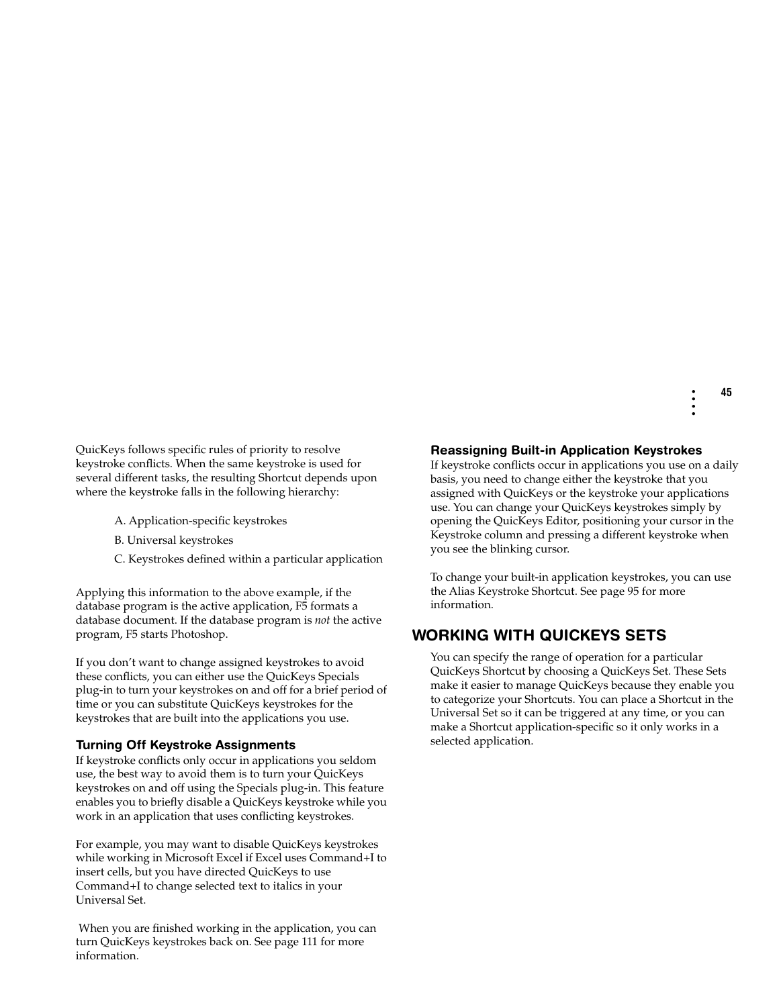QuicKeys follows specific rules of priority to resolve keystroke conflicts. When the same keystroke is used for several different tasks, the resulting Shortcut depends upon where the keystroke falls in the following hierarchy:

- A. Application-specific keystrokes
- B. Universal keystrokes
- C. Keystrokes defined within a particular application

Applying this information to the above example, if the database program is the active application, F5 formats a database document. If the database program is *not* the active program, F5 starts Photoshop.

If you don't want to change assigned keystrokes to avoid these conflicts, you can either use the QuicKeys Specials plug-in to turn your keystrokes on and off for a brief period of time or you can substitute QuicKeys keystrokes for the keystrokes that are built into the applications you use.

## **Turning Off Keystroke Assignments**

If keystroke conflicts only occur in applications you seldom use, the best way to avoid them is to turn your QuicKeys keystrokes on and off using the Specials plug-in. This feature enables you to briefly disable a QuicKeys keystroke while you work in an application that uses conflicting keystrokes.

For example, you may want to disable QuicKeys keystrokes while working in Microsoft Excel if Excel uses Command+I to insert cells, but you have directed QuicKeys to use Command+I to change selected text to italics in your Universal Set.

 When you are finished working in the application, you can turn QuicKeys keystrokes back on. See page 111 for more information.

## **Reassigning Built-in Application Keystrokes**

If keystroke conflicts occur in applications you use on a daily basis, you need to change either the keystroke that you assigned with QuicKeys or the keystroke your applications use. You can change your QuicKeys keystrokes simply by opening the QuicKeys Editor, positioning your cursor in the Keystroke column and pressing a different keystroke when you see the blinking cursor.

To change your built-in application keystrokes, you can use the Alias Keystroke Shortcut. See page 95 for more information.

# **WORKING WITH QUICKEYS SETS**

You can specify the range of operation for a particular QuicKeys Shortcut by choosing a QuicKeys Set. These Sets make it easier to manage QuicKeys because they enable you to categorize your Shortcuts. You can place a Shortcut in the Universal Set so it can be triggered at any time, or you can make a Shortcut application-specific so it only works in a selected application.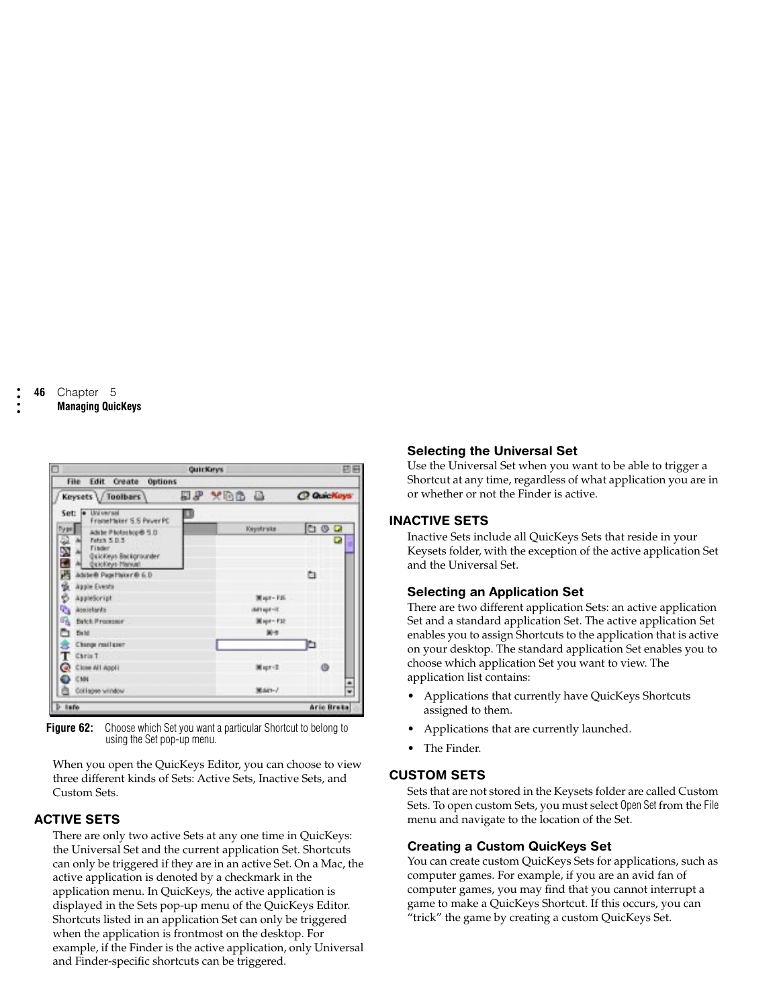|                                                                                                            |   | QuicKeys |                         |   | 日日                |
|------------------------------------------------------------------------------------------------------------|---|----------|-------------------------|---|-------------------|
| <b>File Edit Create Options</b>                                                                            |   |          |                         |   |                   |
| Keysets \/ Toolbars                                                                                        |   | HP YDB A |                         |   | C QuicKeys        |
| · Liniversal<br>Set:<br>Fromethier S.S PriverPC<br><b>Type:</b><br>Adube Photoshop® 5.0<br>Fatch 5.0.3     | ш |          | Keystrake               |   | OGD<br>a<br>۰     |
| ■図句<br>A→A→<br>Finder<br>Quickleus Backgrounder<br><b>Quickleys Markett</b><br>Æ<br>Adabe@ Page Haker@ 6.D |   |          |                         | ٠ |                   |
| 黄白<br>Apple Events<br>AssieScript<br>œ,<br>Assistants                                                      |   |          | Mapt-F26<br>441 (61-32) |   |                   |
| 靍<br><b>Bytch Processor</b><br>m<br><b>Build</b>                                                           |   |          | <b>Maple-F32</b><br>第一  |   |                   |
| Change mail gaer<br>T Ehria T                                                                              |   |          |                         | b |                   |
| C Close All Appli<br>CM<br>s.<br>Collegee window                                                           |   |          | Mapr=E<br><b>MAIN-7</b> |   | o<br>٠            |
| $b$ is for                                                                                                 |   |          |                         |   | <b>Ario Braka</b> |

**Figure 62:** Choose which Set you want a particular Shortcut to belong to using the Set pop-up menu.

When you open the QuicKeys Editor, you can choose to view three different kinds of Sets: Active Sets, Inactive Sets, and Custom Sets.

## **ACTIVE SETS**

There are only two active Sets at any one time in QuicKeys: the Universal Set and the current application Set. Shortcuts can only be triggered if they are in an active Set. On a Mac, the active application is denoted by a checkmark in the application menu. In QuicKeys, the active application is displayed in the Sets pop-up menu of the QuicKeys Editor. Shortcuts listed in an application Set can only be triggered when the application is frontmost on the desktop. For example, if the Finder is the active application, only Universal and Finder-specific shortcuts can be triggered.

## **Selecting the Universal Set**

Use the Universal Set when you want to be able to trigger a Shortcut at any time, regardless of what application you are in or whether or not the Finder is active.

### **INACTIVE SETS**

Inactive Sets include all QuicKeys Sets that reside in your Keysets folder, with the exception of the active application Set and the Universal Set.

## **Selecting an Application Set**

There are two different application Sets: an active application Set and a standard application Set. The active application Set enables you to assign Shortcuts to the application that is active on your desktop. The standard application Set enables you to choose which application Set you want to view. The application list contains:

- Applications that currently have QuicKeys Shortcuts assigned to them.
- Applications that are currently launched.
- The Finder.

## **CUSTOM SETS**

Sets that are not stored in the Keysets folder are called Custom Sets. To open custom Sets, you must select Open Set from the File menu and navigate to the location of the Set.

## **Creating a Custom QuicKeys Set**

You can create custom QuicKeys Sets for applications, such as computer games. For example, if you are an avid fan of computer games, you may find that you cannot interrupt a game to make a QuicKeys Shortcut. If this occurs, you can "trick" the game by creating a custom QuicKeys Set.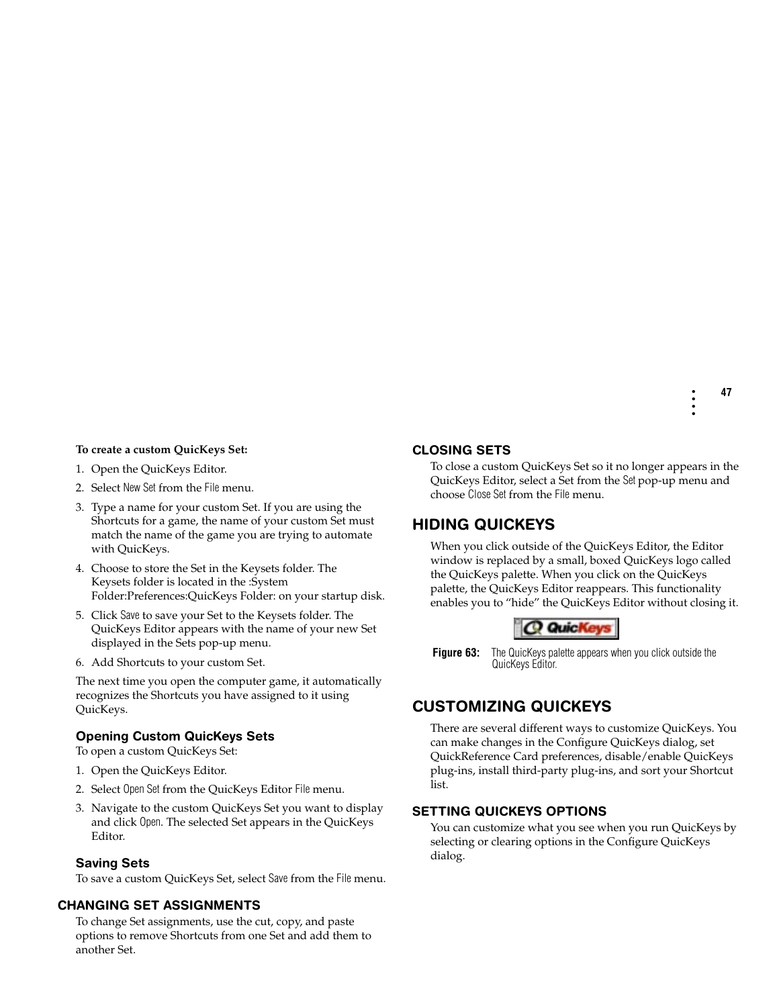#### **To create a custom QuicKeys Set:**

- 1. Open the QuicKeys Editor.
- 2. Select New Set from the File menu.
- 3. Type a name for your custom Set. If you are using the Shortcuts for a game, the name of your custom Set must match the name of the game you are trying to automate with QuicKeys.
- 4. Choose to store the Set in the Keysets folder. The Keysets folder is located in the :System Folder:Preferences:QuicKeys Folder: on your startup disk.
- 5. Click Save to save your Set to the Keysets folder. The QuicKeys Editor appears with the name of your new Set displayed in the Sets pop-up menu.
- 6. Add Shortcuts to your custom Set.

The next time you open the computer game, it automatically recognizes the Shortcuts you have assigned to it using QuicKeys.

#### **Opening Custom QuicKeys Sets**

To open a custom QuicKeys Set:

- 1. Open the QuicKeys Editor.
- 2. Select Open Set from the QuicKeys Editor File menu.
- 3. Navigate to the custom QuicKeys Set you want to display and click Open. The selected Set appears in the QuicKeys Editor.

#### **Saving Sets**

To save a custom QuicKeys Set, select Save from the File menu.

#### **CHANGING SET ASSIGNMENTS**

To change Set assignments, use the cut, copy, and paste options to remove Shortcuts from one Set and add them to another Set.

#### **CLOSING SETS**

To close a custom QuicKeys Set so it no longer appears in the QuicKeys Editor, select a Set from the Set pop-up menu and choose Close Set from the File menu.

## **HIDING QUICKEYS**

When you click outside of the QuicKeys Editor, the Editor window is replaced by a small, boxed QuicKeys logo called the QuicKeys palette. When you click on the QuicKeys palette, the QuicKeys Editor reappears. This functionality enables you to "hide" the QuicKeys Editor without closing it.



**Figure 63:** The QuicKeys palette appears when you click outside the QuicKeys Editor.

## **CUSTOMIZING QUICKEYS**

There are several different ways to customize QuicKeys. You can make changes in the Configure QuicKeys dialog, set QuickReference Card preferences, disable/enable QuicKeys plug-ins, install third-party plug-ins, and sort your Shortcut list.

#### **SETTING QUICKEYS OPTIONS**

You can customize what you see when you run QuicKeys by selecting or clearing options in the Configure QuicKeys dialog.

**47**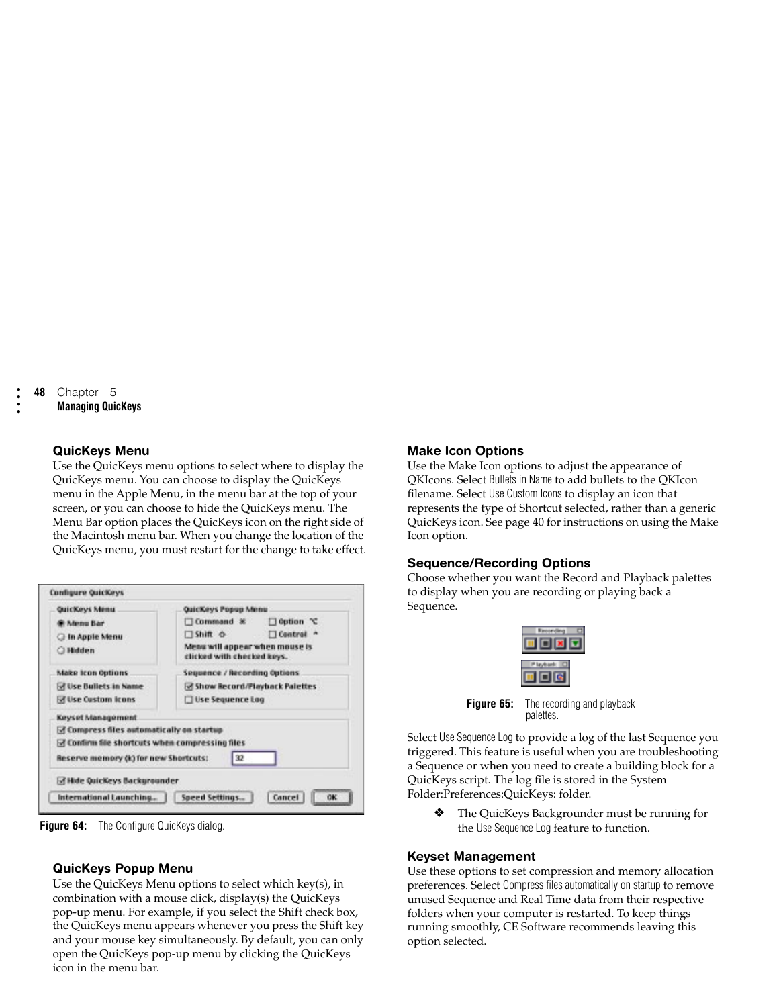• • • •

#### **QuicKeys Menu**

Use the QuicKeys menu options to select where to display the QuicKeys menu. You can choose to display the QuicKeys menu in the Apple Menu, in the menu bar at the top of your screen, or you can choose to hide the QuicKeys menu. The Menu Bar option places the QuicKeys icon on the right side of the Macintosh menu bar. When you change the location of the QuicKeys menu, you must restart for the change to take effect.

| QuicKeys Menu                                 | QuicKeys Popup Menu                                          |  |
|-----------------------------------------------|--------------------------------------------------------------|--|
| <b>G</b> Menu Bar                             | Command *<br>$\Box$ Option $\mathcal X$                      |  |
| In Apple Menu                                 | □ Shift ☆<br>Control "                                       |  |
| ○ Hidden                                      | Menu will appear when mouse is<br>clicked with checked keys. |  |
| <b>Make Icon Options</b>                      | Sequence / Recording Options                                 |  |
| M Use Bullets in Name                         | <b>B</b> Show Record/Playback Palettes                       |  |
| <b>MILise Custom Icons</b>                    | Use Sequence Log                                             |  |
| Keyset Management                             |                                                              |  |
| M Compress files automatically on startup     |                                                              |  |
| Tonfirm file shortcuts when compressing files |                                                              |  |
| Reserve memory (k) for new Shortcuts:         | 32                                                           |  |
| of Hide Quickeys Backgrounder                 |                                                              |  |
| International Launching                       | Speed Settings<br>Cancel<br><b>OK</b>                        |  |

**Figure 64:** The Configure QuicKeys dialog.

## **QuicKeys Popup Menu**

Use the QuicKeys Menu options to select which key(s), in combination with a mouse click, display(s) the QuicKeys pop-up menu. For example, if you select the Shift check box, the QuicKeys menu appears whenever you press the Shift key and your mouse key simultaneously. By default, you can only open the QuicKeys pop-up menu by clicking the QuicKeys icon in the menu bar.

### **Make Icon Options**

Use the Make Icon options to adjust the appearance of QKIcons. Select Bullets in Name to add bullets to the QKIcon filename. Select Use Custom Icons to display an icon that represents the type of Shortcut selected, rather than a generic QuicKeys icon. See page 40 for instructions on using the Make Icon option.

### **Sequence/Recording Options**

Choose whether you want the Record and Playback palettes to display when you are recording or playing back a Sequence.



**Figure 65:** The recording and playback palettes.

Select Use Sequence Log to provide a log of the last Sequence you triggered. This feature is useful when you are troubleshooting a Sequence or when you need to create a building block for a QuicKeys script. The log file is stored in the System Folder:Preferences:QuicKeys: folder.

❖ The QuicKeys Backgrounder must be running for the Use Sequence Log feature to function.

## <span id="page-5-0"></span>**Keyset Management**

Use these options to set compression and memory allocation preferences. Select Compress files automatically on startup to remove unused Sequence and Real Time data from their respective folders when your computer is restarted. To keep things running smoothly, CE Software recommends leaving this option selected.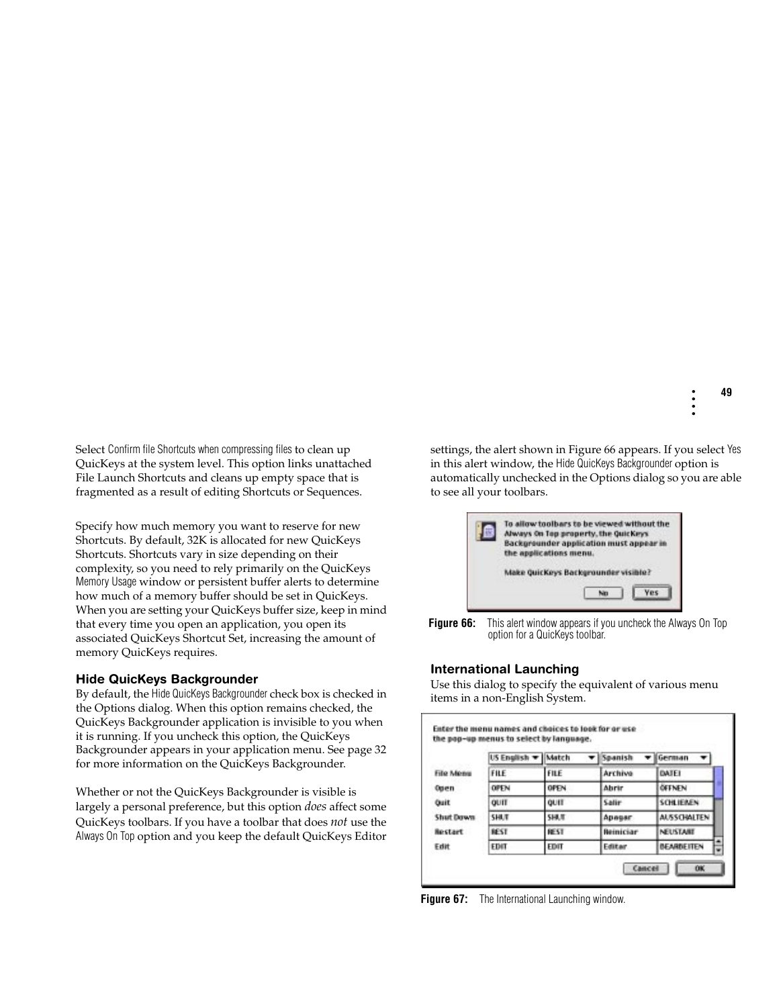Select Confirm file Shortcuts when compressing files to clean up QuicKeys at the system level. This option links unattached File Launch Shortcuts and cleans up empty space that is fragmented as a result of editing Shortcuts or Sequences.

Specify how much memory you want to reserve for new Shortcuts. By default, 32K is allocated for new QuicKeys Shortcuts. Shortcuts vary in size depending on their complexity, so you need to rely primarily on the QuicKeys Memory Usage window or persistent buffer alerts to determine how much of a memory buffer should be set in QuicKeys. When you are setting your QuicKeys buffer size, keep in mind that every time you open an application, you open its associated QuicKeys Shortcut Set, increasing the amount of memory QuicKeys requires.

#### **Hide QuicKeys Backgrounder**

By default, the Hide QuicKeys Backgrounder check box is checked in the Options dialog. When this option remains checked, the QuicKeys Backgrounder application is invisible to you when it is running. If you uncheck this option, the QuicKeys Backgrounder appears in your application menu. See page 32 for more information on the QuicKeys Backgrounder.

Whether or not the QuicKeys Backgrounder is visible is largely a personal preference, but this option *does* affect some QuicKeys toolbars. If you have a toolbar that does *not* use the Always On Top option and you keep the default QuicKeys Editor

settings, the alert shown in [Figure 66](#page-6-0) appears. If you select Yes in this alert window, the Hide QuicKeys Backgrounder option is automatically unchecked in the Options dialog so you are able to see all your toolbars.



<span id="page-6-0"></span>**Figure 66:** This alert window appears if you uncheck the Always On Top option for a QuicKeys toolbar.

### **International Launching**

Use this dialog to specify the equivalent of various menu items in a non-English System.

|                  | US English <b>v</b> | Match       | Spanish          | German             |
|------------------|---------------------|-------------|------------------|--------------------|
| Filip Mones      | FILE                | FILE        | Archiva          | <b>DATE!</b>       |
| Open             | OPEN                | <b>OPEN</b> | Abrir            | <b>ÖFFNEN</b>      |
| Ouit             | OUIT                | QUIT        | Salin            | SCHLIEMEN          |
| <b>Shut Down</b> | <b>SHLT</b>         | <b>SHUT</b> | Apeser           | <b>ALSSCHALTEN</b> |
| Restart          | <b>REST</b>         | <b>REST</b> | <b>Beiniciar</b> | NEUSTARE           |
| Edit             | <b>EDIT</b>         | EDIT        | Editar           | <b>BEARDEITEN</b>  |

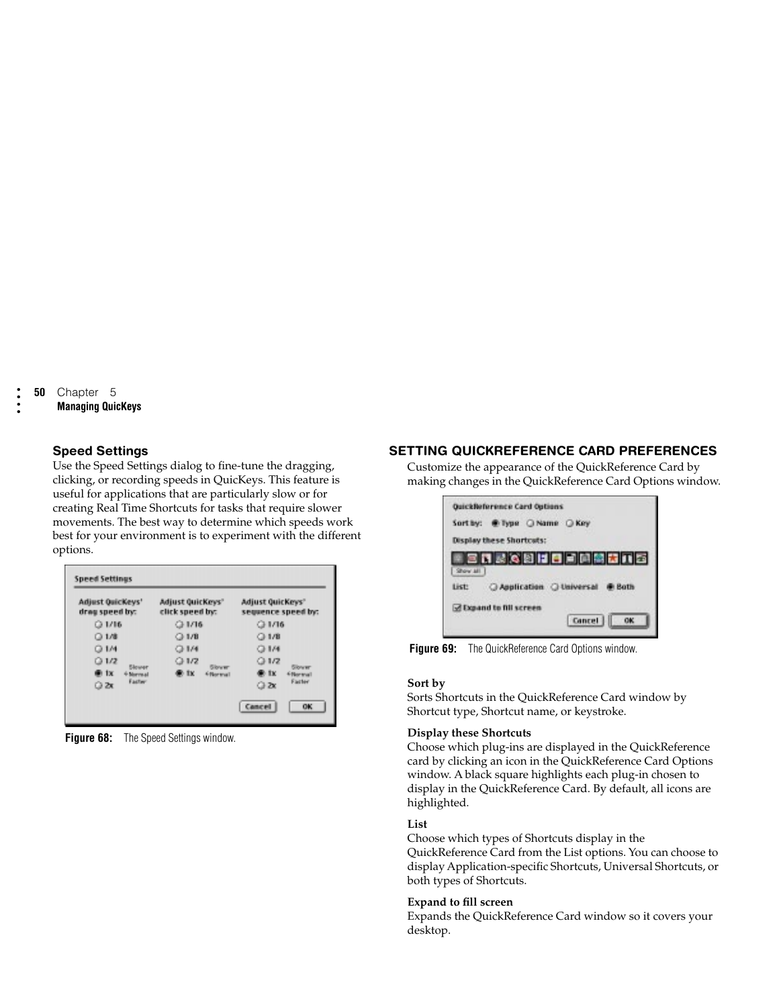• • • •

### **Speed Settings**

Use the Speed Settings dialog to fine-tune the dragging, clicking, or recording speeds in QuicKeys. This feature is useful for applications that are particularly slow or for creating Real Time Shortcuts for tasks that require slower movements. The best way to determine which speeds work best for your environment is to experiment with the different options.

| Adjust Quickeys'<br>drag speed by: | Adjust QuicKeys"<br>click speed by: | Adjust QuicKeys"<br>sequence speed by:    |
|------------------------------------|-------------------------------------|-------------------------------------------|
| Q1/16                              | Q1/16                               | Q1/16                                     |
| 01/8                               | Q1/B                                | Q1/B                                      |
| Q1M                                | Q1/4                                | Q1/4                                      |
| 01/2                               | Q1/2                                | Q1/2                                      |
| Slower<br>in 1x<br>+ Morreal       | <b>Slower</b><br>⊕ tx<br>6 Norwall  | <b>Slower</b><br><b>OR</b> TX<br>6 Normal |
| Factor<br>Ω×                       |                                     | Easter<br>Ω×                              |

**Figure 68:** The Speed Settings window.

## **SETTING QUICKREFERENCE CARD PREFERENCES**

Customize the appearance of the QuickReference Card by making changes in the QuickReference Card Options window.

|         | QuickReference Card Outlons<br>Sort by: @ Type O Name O Key |               |             |
|---------|-------------------------------------------------------------|---------------|-------------|
|         | <b>Display these Shortcats:</b>                             |               |             |
| Show MI | 日日最後岡田田国岡関西口宮                                               |               |             |
| List:   | C Application C Universal                                   |               | <b>Both</b> |
|         | <b>Z</b> Expand to fill screen                              | <b>Cancel</b> | OK          |

**Figure 69:** The QuickReference Card Options window.

#### **Sort by**

Sorts Shortcuts in the QuickReference Card window by Shortcut type, Shortcut name, or keystroke.

#### **Display these Shortcuts**

Choose which plug-ins are displayed in the QuickReference card by clicking an icon in the QuickReference Card Options window. A black square highlights each plug-in chosen to display in the QuickReference Card. By default, all icons are highlighted.

#### **List**

Choose which types of Shortcuts display in the QuickReference Card from the List options. You can choose to display Application-specific Shortcuts, Universal Shortcuts, or both types of Shortcuts.

#### **Expand to fill screen**

Expands the QuickReference Card window so it covers your desktop.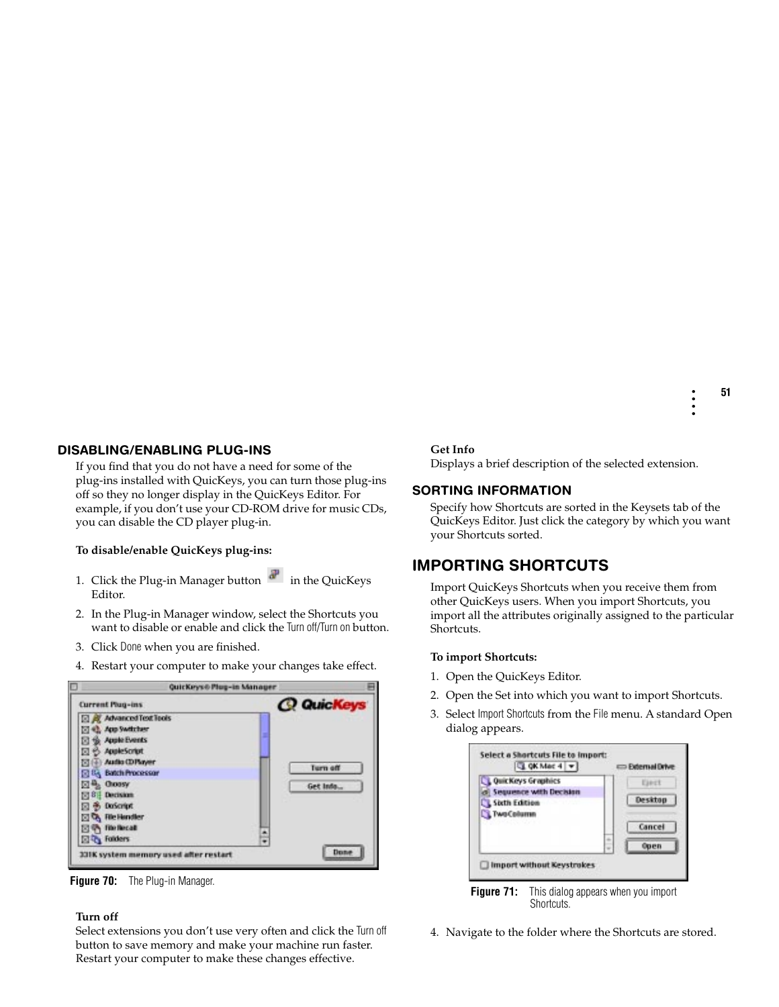## **DISABLING/ENABLING PLUG-INS**

If you find that you do not have a need for some of the plug-ins installed with QuicKeys, you can turn those plug-ins off so they no longer display in the QuicKeys Editor. For example, if you don't use your CD-ROM drive for music CDs, you can disable the CD player plug-in.

#### **To disable/enable QuicKeys plug-ins:**

- 1. Click the Plug-in Manager button  $\mathbf{a}^{\mathsf{T}}$  in the QuicKeys Editor.
- 2. In the Plug-in Manager window, select the Shortcuts you want to disable or enable and click the Turn off/Turn on button.
- 3. Click Done when you are finished.
- 4. Restart your computer to make your changes take effect.

| QuicKeys@ Plug-in Manager |
|---------------------------|
| <b>Q QuicKeys</b>         |
|                           |
|                           |
|                           |
|                           |
|                           |
| Turn off                  |
| Get Info                  |
|                           |
|                           |
|                           |
| ä                         |
|                           |
|                           |

**Figure 70:** The Plug-in Manager.

#### **Turn off**

Select extensions you don't use very often and click the Turn off button to save memory and make your machine run faster. Restart your computer to make these changes effective.

#### **Get Info**

Displays a brief description of the selected extension.

## **SORTING INFORMATION**

Specify how Shortcuts are sorted in the Keysets tab of the QuicKeys Editor. Just click the category by which you want your Shortcuts sorted.

# **IMPORTING SHORTCUTS**

Import QuicKeys Shortcuts when you receive them from other QuicKeys users. When you import Shortcuts, you import all the attributes originally assigned to the particular Shortcuts.

### **To import Shortcuts:**

- 1. Open the QuicKeys Editor.
- 2. Open the Set into which you want to import Shortcuts.
- 3. Select Import Shortcuts from the File menu. A standard Open dialog appears.





4. Navigate to the folder where the Shortcuts are stored.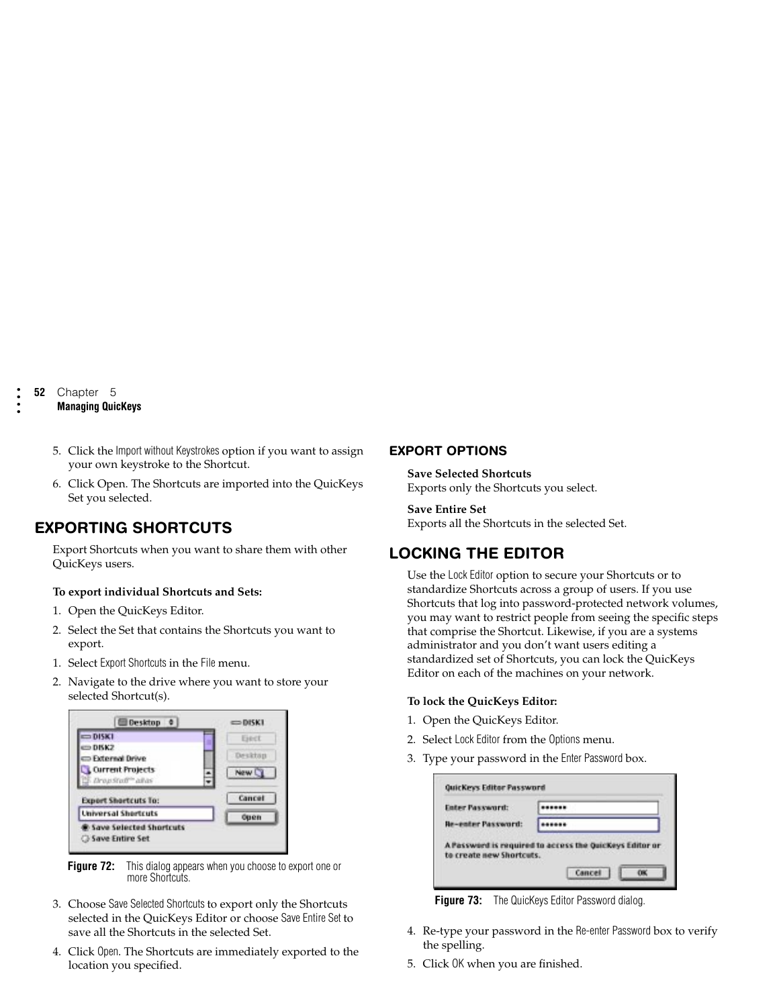## **Managing QuicKeys**

- 5. Click the Import without Keystrokes option if you want to assign your own keystroke to the Shortcut.
- 6. Click Open. The Shortcuts are imported into the QuicKeys Set you selected.

# **EXPORTING SHORTCUTS**

Export Shortcuts when you want to share them with other QuicKeys users.

#### **To export individual Shortcuts and Sets:**

- 1. Open the QuicKeys Editor.
- 2. Select the Set that contains the Shortcuts you want to export.
- 1. Select Export Shortcuts in the File menu.
- 2. Navigate to the drive where you want to store your selected Shortcut(s).



**Figure 72:** This dialog appears when you choose to export one or more Shortcuts.

- 3. Choose Save Selected Shortcuts to export only the Shortcuts selected in the QuicKeys Editor or choose Save Entire Set to save all the Shortcuts in the selected Set.
- 4. Click Open. The Shortcuts are immediately exported to the location you specified.

### **EXPORT OPTIONS**

**Save Selected Shortcuts** Exports only the Shortcuts you select.

**Save Entire Set** Exports all the Shortcuts in the selected Set.

# **LOCKING THE EDITOR**

Use the Lock Editor option to secure your Shortcuts or to standardize Shortcuts across a group of users. If you use Shortcuts that log into password-protected network volumes, you may want to restrict people from seeing the specific steps that comprise the Shortcut. Likewise, if you are a systems administrator and you don't want users editing a standardized set of Shortcuts, you can lock the QuicKeys Editor on each of the machines on your network.

#### **To lock the QuicKeys Editor:**

- 1. Open the QuicKeys Editor.
- 2. Select Lock Editor from the Options menu.
- 3. Type your password in the Enter Password box.

| <b>Be-enter Password:</b>                               | <b>Enter Password:</b> |  |  |
|---------------------------------------------------------|------------------------|--|--|
|                                                         |                        |  |  |
| A Password is required to access the Quickeys Editor or |                        |  |  |

**Figure 73:** The QuicKeys Editor Password dialog.

- 4. Re-type your password in the Re-enter Password box to verify the spelling.
- 5. Click OK when you are finished.

**52** Chapter 5